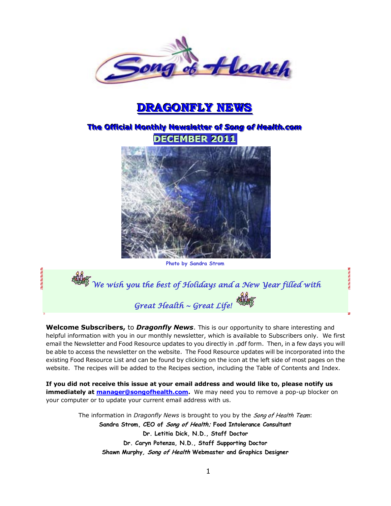

# **DRAGONFLY NEWS**

## $\overline{\text{The Official Monthly} }$  Newsletter of Song of Health.com **DECEMBER 2011**



**Photo by Sandra Strom**

*We wish you the best of Holidays and a New Year filled with Great Health ~ Great Life!* 

**Welcome Subscribers,** to *Dragonfly News*. This is our opportunity to share interesting and helpful information with you in our monthly newsletter, which is available to Subscribers only. We first email the Newsletter and Food Resource updates to you directly in .pdf form. Then, in a few days you will be able to access the newsletter on the website. The Food Resource updates will be incorporated into the existing Food Resource List and can be found by clicking on the icon at the left side of most pages on the website. The recipes will be added to the Recipes section, including the Table of Contents and Index.

**If you did not receive this issue at your email address and would like to, please notify us immediately at [manager@songofhealth.com.](mailto:manager@songofhealth.com)** We may need you to remove a pop-up blocker on your computer or to update your current email address with us.

> The information in *Dragonfly News* is brought to you by the Song of Health Team: **Sandra Strom, CEO of Song of Health; Food Intolerance Consultant Dr. Letitia Dick, N.D., Staff Doctor Dr. Caryn Potenza, N.D., Staff Supporting Doctor Shawn Murphy, Song of Health Webmaster and Graphics Designer**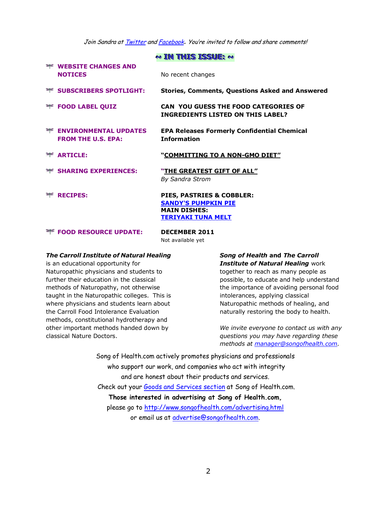Join Sandra at **Twitter** an[d Facebook](http://facebook.com/home.php?ref=home#/home.php?filter=pp). You're invited to follow and share comments!

|                                                           | $\sim$ IN THIS ISSUE: $\sim$                                                                                |
|-----------------------------------------------------------|-------------------------------------------------------------------------------------------------------------|
| <b>THE WEBSITE CHANGES AND</b><br><b>NOTICES</b>          | No recent changes                                                                                           |
| <b>EXAMPLE SUBSCRIBERS SPOTLIGHT:</b>                     | <b>Stories, Comments, Questions Asked and Answered</b>                                                      |
| <b>FOOD LABEL QUIZ</b>                                    | CAN YOU GUESS THE FOOD CATEGORIES OF<br><b>INGREDIENTS LISTED ON THIS LABEL?</b>                            |
| <b>ENVIRONMENTAL UPDATES</b><br><b>FROM THE U.S. EPA:</b> | <b>EPA Releases Formerly Confidential Chemical</b><br><b>Information</b>                                    |
| $\equiv$ ARTICLE:                                         | "COMMITTING TO A NON-GMO DIET"                                                                              |
| <b>EXPERIENCES:</b>                                       | "THE GREATEST GIFT OF ALL"<br><b>By Sandra Strom</b>                                                        |
| <b>EXECTPES:</b>                                          | PIES, PASTRIES & COBBLER:<br><b>SANDY'S PUMPKIN PIE</b><br><b>MAIN DISHES:</b><br><b>TERIYAKI TUNA MELT</b> |
| <b>EXECUTE:</b> FOOD RESOURCE UPDATE:                     | <b>DECEMBER 2011</b><br>Not available yet                                                                   |

#### *The Carroll Institute of Natural Healing*

is an educational opportunity for Naturopathic physicians and students to further their education in the classical methods of Naturopathy, not otherwise taught in the Naturopathic colleges. This is where physicians and students learn about the Carroll Food Intolerance Evaluation methods, constitutional hydrotherapy and other important methods handed down by classical Nature Doctors.

*Song of Health* **and** *The Carroll Institute of Natural Healing* work together to reach as many people as possible, to educate and help understand the importance of avoiding personal food intolerances, applying classical Naturopathic methods of healing, and naturally restoring the body to health.

*We invite everyone to contact us with any questions you may have regarding these methods at [manager@songofhealth.com.](mailto:manager@songofhealth.com)* 

Song of Health.com actively promotes physicians and professionals who support our work, and companies who act with integrity and are honest about their products and services. Check out your [Goods and Services section](http://www.songofhealth.com/goods.html) at Song of Health.com. **Those interested in advertising at Song of Health.com,**  please go to<http://www.songofhealth.com/advertising.html> or email us at [advertise@songofhealth.com.](mailto:advertise@songofhealth.com)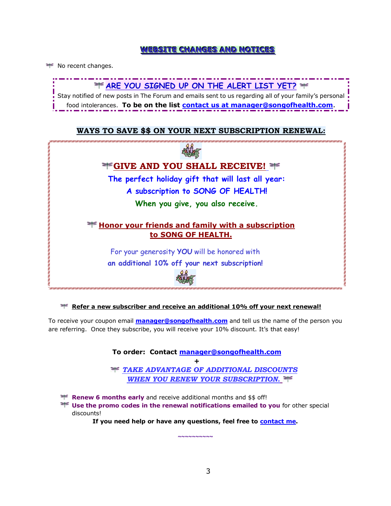### **WEESITE CHANGES AND NOTICES**

No recent changes.



### **WAYS TO SAVE \$\$ ON YOUR NEXT SUBSCRIPTION RENEWAL:**



#### **Refer a new subscriber and receive an additional 10% off your next renewal!**

To receive your coupon email **[manager@songofhealth.com](mailto:manager@songofhealth.com)** and tell us the name of the person you are referring. Once they subscribe, you will receive your 10% discount. It's that easy!

> **To order: Contact [manager@songofhealth.com](mailto:manager@songofhealth.com) +** *TAKE ADVANTAGE OF ADDITIONAL DISCOUNTS WHEN YOU RENEW YOUR SUBSCRIPTION.*

**Renew 6 months early** and receive additional months and \$\$ off!

**H** Use the promo codes in the renewal notifications emailed to you for other special discounts!

**If you need help or have any questions, feel free to [contact me.](mailto:manager@songofhealth.com?subject=contact%20us)** 

**~~~~~~~~~~**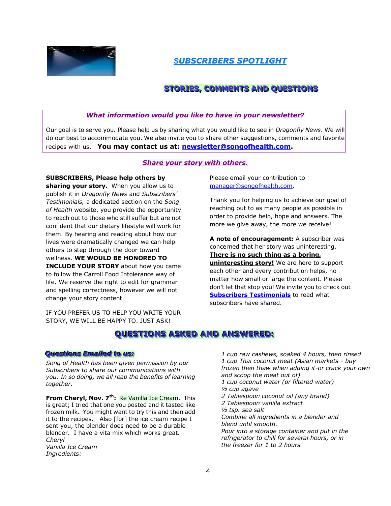

*SUBSCRIBERS SPOTLIGHT*

## **STORIES, COMMENTS AND QUESTIONS**

### *What information would you like to have in your newsletter?*

Our goal is to serve you. Please help us by sharing what you would like to see in *Dragonfly News*. We will do our best to accommodate you. We also invite you to share other suggestions, comments and favorite recipes with us. **You may contact us at: [newsletter@songofhealth.com.](mailto:newsletter@songofhealth.com)**

### *Share your story with others.*

### **SUBSCRIBERS, Please help others by**

**sharing your story.** When you allow us to publish it in *Dragonfly News* and *Subscribers' Testimonials,* a dedicated section on the *Song of Health* website, you provide the opportunity to reach out to those who still suffer but are not confident that our dietary lifestyle will work for them. By hearing and reading about how our lives were dramatically changed we can help others to step through the door toward wellness. **WE WOULD BE HONORED TO INCLUDE YOUR STORY** about how you came to follow the Carroll Food Intolerance way of life. We reserve the right to edit for grammar and spelling correctness, however we will not change your story content.

IF YOU PREFER US TO HELP YOU WRITE YOUR STORY, WE WILL BE HAPPY TO. JUST ASK!

Please email your contribution to manager@songofhealth.com.

Thank you for helping us to achieve our goal of reaching out to as many people as possible in order to provide help, hope and answers. The more we give away, the more we receive!

**A note of encouragement:** A subscriber was concerned that her story was uninteresting. **There is no such thing as a boring, uninteresting story!** We are here to support each other and every contribution helps, no matter how small or large the content. Please don't let that stop you! We invite you to check out **[Subscribers Testimonials](http://www.songofhealth.com/testimonials.html)** to read what subscribers have shared.

## **QUESTIONS ASKED AND ANSWERED:**

### *QQuueesstti ioonnssEEmmaai i l leeddttoo uuss::*

*Song of Health has been given permission by our Subscribers to share our communications with you. In so doing, we all reap the benefits of learning together.* 

**From Cheryl, Nov. 7<sup>th</sup>: Re Vanilla Ice Cream. This** is great; I tried that one you posted and it tasted like frozen milk. You might want to try this and then add it to the recipes. Also [for] the ice cream recipe I sent you, the blender does need to be a durable blender. I have a vita mix which works great. *Cheryl Vanilla Ice Cream Ingredients:* 

*1 cup raw cashews, soaked 4 hours, then rinsed 1 cup Thai coconut meat (Asian markets - buy frozen then thaw when adding it-or crack your own and scoop the meat out of) 1 cup coconut water (or filtered water) ½ cup agave 2 Tablespoon coconut oil (any brand) 2 Tablespoon vanilla extract ½ tsp. sea salt Combine all ingredients in a blender and blend until smooth. Pour into a storage container and put in the refrigerator to chill for several hours, or in the freezer for 1 to 2 hours.*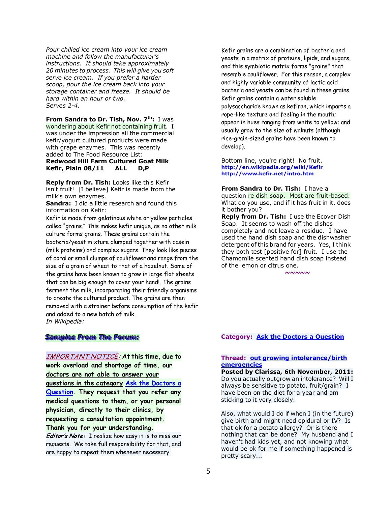*Pour chilled ice cream into your ice cream machine and follow the manufacturer's instructions. It should take approximately 20 minutes to process. This will give you soft serve ice cream. If you prefer a harder scoop, pour the ice cream back into your storage container and freeze. It should be hard within an hour or two. Serves 2-4.* 

**From Sandra to Dr. Tish, Nov. 7th:** I was wondering about Kefir not containing fruit. I was under the impression all the commercial kefir/yogurt cultured products were made with grape enzymes. This was recently added to The Food Resource List: **Redwood Hill Farm Cultured Goat Milk Kefir, Plain 08/11 ALL D,P** 

**Reply from Dr. Tish:** Looks like this Kefir isn't fruit! [I believe] Kefir is made from the milk's own enzymes.

**Sandra:** I did a little research and found this information on Kefir:

Kefir is made from gelatinous white or yellow particles called "grains." This makes kefir unique, as no other milk culture forms grains. These grains contain the bacteria/yeast mixture clumped together with casein (milk proteins) and complex sugars. They look like pieces of coral or small clumps of cauliflower and range from the size of a grain of wheat to that of a hazelnut. Some of the grains have been known to grow in large flat sheets that can be big enough to cover your hand!. The grains ferment the milk, incorporating their friendly organisms to create the cultured product. The grains are then removed with a strainer before consumption of the kefir and added to a new batch of milk. *In Wikipedia:* 

### *Samples From The Forum:*

IMPORTANT NOTICE: **At this time, due to work overload and shortage of time, our doctors are not able to answer your questions in the category [Ask the Doctors a](http://www.songofhealth.com/cgi/forum/mf_browse.pl?Com=category&Category=a01cI799)  [Question.](http://www.songofhealth.com/cgi/forum/mf_browse.pl?Com=category&Category=a01cI799) They request that you refer any medical questions to them, or your personal physician, directly to their clinics, by requesting a consultation appointment. Thank you for your understanding.** 

**Editor's Note:** I realize how easy it is to miss our requests. We take full responsibility for that, and are happy to repeat them whenever necessary.

Kefir grains are a combination of bacteria and yeasts in a matrix of proteins, lipids, and sugars, and this symbiotic matrix forms "grains" that resemble cauliflower. For this reason, a complex and highly variable community of lactic acid bacteria and yeasts can be found in these grains. Kefir grains contain a water soluble polysaccharide known as kefiran, which imparts a rope-like texture and feeling in the mouth; appear in hues ranging from white to yellow; and usually grow to the size of walnuts (although rice-grain-sized grains have been known to develop).

Bottom line, you're right! No fruit. **<http://en.wikipedia.org/wiki/Kefir> <http://www.kefir.net/intro.htm>**

**From Sandra to Dr. Tish:** I have a question re dish soap. Most are fruit-based. What do you use, and if it has fruit in it, does it bother you?

**Reply from Dr. Tish:** I use the Ecover Dish Soap. It seems to wash off the dishes completely and not leave a residue. I have used the hand dish soap and the dishwasher detergent of this brand for years. Yes, I think they both test [positive for] fruit. I use the Chamomile scented hand dish soap instead of the lemon or citrus one.

*~~~~~* 

### **Category: [Ask the Doctors a Question](http://www.songofhealth.com/cgi/forum/mf_browse.pl?Com=category&Category=a01cI799)**

#### **Thread: [out growing intolerance/birth](http://www.songofhealth.com/cgi/forum/mf_browse.pl?Com=thread&Category=a01cI799&Thread=7e56xn0)  [emergencies](http://www.songofhealth.com/cgi/forum/mf_browse.pl?Com=thread&Category=a01cI799&Thread=7e56xn0)**

**Posted by Clarissa, 6th November, 2011:**  Do you actually outgrow an intolerance? Will I always be sensitive to potato, fruit/grain? I have been on the diet for a year and am sticking to it very closely.

Also, what would I do if when I (in the future) give birth and might need epidural or IV? Is that ok for a potato allergy? Or is there nothing that can be done? My husband and I haven't had kids yet, and not knowing what would be ok for me if something happened is pretty scary...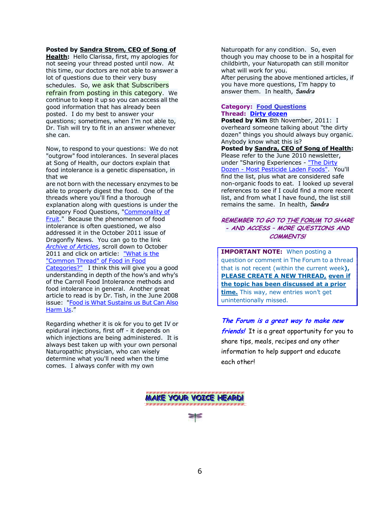#### **Posted by [Sandra Strom, CEO of Song of](mailto:manager@songofhealth.com)**

**[Health:](mailto:manager@songofhealth.com)** Hello Clarissa, first, my apologies for not seeing your thread posted until now. At this time, our doctors are not able to answer a lot of questions due to their very busy schedules. So, we ask that Subscribers refrain from posting in this category. We continue to keep it up so you can access all the good information that has already been posted. I do my best to answer your questions; sometimes, when I"m not able to, Dr. Tish will try to fit in an answer whenever she can.

Now, to respond to your questions: We do not "outgrow" food intolerances. In several places at Song of Health, our doctors explain that food intolerance is a genetic dispensation, in that we

are not born with the necessary enzymes to be able to properly digest the food. One of the threads where you'll find a thorough explanation along with questions is under the category Food Questions, ["Commonality of](http://www.songofhealth.com/cgi/forum/mf_browse.pl?Com=thread&Category=a01dX652&Thread=5h01Sb6)  [Fruit.](http://www.songofhealth.com/cgi/forum/mf_browse.pl?Com=thread&Category=a01dX652&Thread=5h01Sb6)" Because the phenomenon of food intolerance is often questioned, we also addressed it in the October 2011 issue of Dragonfly News. You can go to the link *[Archive of Articles](http://www.songofhealth.com/subscribers/articlesindex.html)*, scroll down to October 2011 and click on article: ["What is the](http://www.songofhealth.com/subscribers/newsletter1011.html#article)  ["Common Thread" of Food in Food](http://www.songofhealth.com/subscribers/newsletter1011.html#article)  [Categories?"](http://www.songofhealth.com/subscribers/newsletter1011.html#article) I think this will give you a good

understanding in depth of the how's and why's of the Carroll Food Intolerance methods and food intolerance in general. Another great article to read is by Dr. Tish, in the June 2008 issue: "Food is What Sustains us But Can Also [Harm Us](http://www.songofhealth.com/subscribers/newsletter0608.html#food)."

Regarding whether it is ok for you to get IV or epidural injections, first off - it depends on which injections are being administered. It is always best taken up with your own personal Naturopathic physician, who can wisely determine what you'll need when the time comes. I always confer with my own

Naturopath for any condition. So, even though you may choose to be in a hospital for childbirth, your Naturopath can still monitor what will work for you. After perusing the above mentioned articles, if you have more questions, I"m happy to answer them. In health, **Sandra**

#### **Category: Food Questions Thread: [Dirty dozen](http://www.songofhealth.com/cgi/forum/mf_browse.pl?Com=thread&Category=a01dX652&Thread=2w9AT1)**

**Posted by Kim** 8th November, 2011: I overheard someone talking about "the dirty dozen" things you should always buy organic. Anybody know what this is?

**Posted b[y Sandra, CEO of Song of Health:](mailto:manager@songofhealth.com)**  Please refer to the June 2010 newsletter, under "Sharing Experiences - "The Dirty [Dozen - Most Pesticide Laden Foods".](http://www.songofhealth.com/subscribers/newsletter0610.html#TheDirtyDozen) You'll find the list, plus what are considered safe non-organic foods to eat. I looked up several references to see if I could find a more recent list, and from what I have found, the list still remains the same. In health, **Sandra**

#### **REMEMBER TO GO T[O THE FORUM](http://www.songofhealth.com/subscribers/forumintro.html) TO SHARE - AND ACCESS – MORE QUESTIONS AND COMMENTS!**

**IMPORTANT NOTE:** When posting a question or comment in The Forum to a thread that is not recent (within the current week**), PLEASE CREATE A NEW THREAD, even if the topic has been discussed at a prior time.** This way, new entries won't get unintentionally missed.

### **The Forum is a great way to make new**

**friends!** It is a great opportunity for you to share tips, meals, recipes and any other information to help support and educate each other!

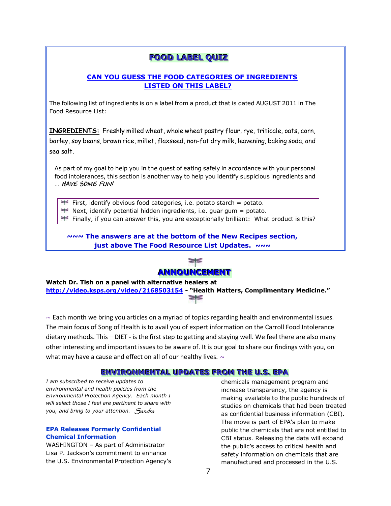## **FOOD LABEL QUIZ**

### **CAN YOU GUESS THE FOOD CATEGORIES OF INGREDIENTS LISTED ON THIS LABEL?**

The following list of ingredients is on a label from a product that is dated AUGUST 2011 in The Food Resource List:

**INGREDIENTS:** Freshly milled wheat, whole wheat pastry flour, rye, triticale, oats, corn, barley, soy beans, brown rice, millet, flaxseed, non-fat dry milk, leavening, baking soda, and sea salt.

As part of my goal to help you in the quest of eating safely in accordance with your personal food intolerances, this section is another way to help you identify suspicious ingredients and … **HAVE SOME FUN!**

First, identify obvious food categories, i.e. potato starch = potato.

Next, identify potential hidden ingredients, i.e. guar gum = potato.

Finally, if you can answer this, you are exceptionally brilliant: What product is this?

**~~~ The answers are at the bottom of the New Recipes section, just above The Food Resource List Updates.** *~~~*



**Watch Dr. Tish on a panel with alternative healers at <http://video.ksps.org/video/2168503154>- "Health Matters, Complimentary Medicine."** 

 $\sim$  Each month we bring you articles on a myriad of topics regarding health and environmental issues. The main focus of Song of Health is to avail you of expert information on the Carroll Food Intolerance dietary methods. This – DIET - is the first step to getting and staying well. We feel there are also many other interesting and important issues to be aware of. It is our goal to share our findings with you, on what may have a cause and effect on all of our healthy lives.  $\sim$ 

### **ENVIRONMENTAL UPDATES FROM THE U.S. EPA**

*I am subscribed to receive updates to environmental and health policies from the Environmental Protection Agency. Each month I will select those I feel are pertinent to share with you, and bring to your attention. Sandra* 

#### **EPA Releases Formerly Confidential Chemical Information**

WASHINGTON – As part of Administrator Lisa P. Jackson"s commitment to enhance the U.S. Environmental Protection Agency"s

chemicals management program and increase transparency, the agency is making available to the public hundreds of studies on chemicals that had been treated as confidential business information (CBI). The move is part of EPA's plan to make public the chemicals that are not entitled to CBI status. Releasing the data will expand the public's access to critical health and safety information on chemicals that are manufactured and processed in the U.S.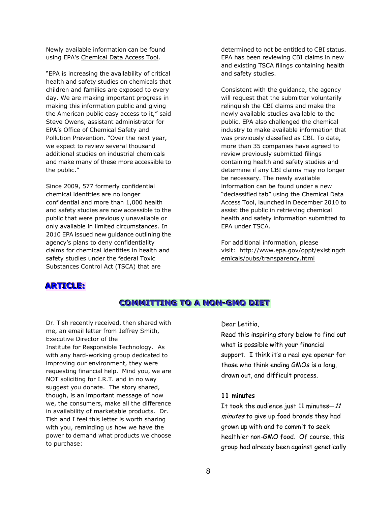Newly available information can be found using EPA's [Chemical Data Access Tool.](http://java.epa.gov/oppt_chemical_search/)

"EPA is increasing the availability of critical health and safety studies on chemicals that children and families are exposed to every day. We are making important progress in making this information public and giving the American public easy access to it," said Steve Owens, assistant administrator for EPA"s Office of Chemical Safety and Pollution Prevention. "Over the next year, we expect to review several thousand additional studies on industrial chemicals and make many of these more accessible to the public."

Since 2009, 577 formerly confidential chemical identities are no longer confidential and more than 1,000 health and safety studies are now accessible to the public that were previously unavailable or only available in limited circumstances. In 2010 EPA issued new guidance outlining the agency"s plans to deny confidentiality claims for chemical identities in health and safety studies under the federal Toxic Substances Control Act (TSCA) that are

determined to not be entitled to CBI status. EPA has been reviewing CBI claims in new and existing TSCA filings containing health and safety studies.

Consistent with the guidance, the agency will request that the submitter voluntarily relinquish the CBI claims and make the newly available studies available to the public. EPA also challenged the chemical industry to make available information that was previously classified as CBI. To date, more than 35 companies have agreed to review previously submitted filings containing health and safety studies and determine if any CBI claims may no longer be necessary. The newly available information can be found under a new "declassified tab" using the [Chemical Data](http://java.epa.gov/oppt_chemical_search/)  [Access Tool,](http://java.epa.gov/oppt_chemical_search/) launched in December 2010 to assist the public in retrieving chemical health and safety information submitted to EPA under TSCA.

For additional information, please visit: [http://www.epa.gov/oppt/existingch](http://www.epa.gov/oppt/existingchemicals/pubs/transparency.html) [emicals/pubs/transparency.html](http://www.epa.gov/oppt/existingchemicals/pubs/transparency.html)

### **ARTICLE:**

## **COMMITTING TO A NON-GMO DIET**

Dr. Tish recently received, then shared with me, an email letter from Jeffrey Smith, Executive Director of the Institute for Responsible Technology. As with any hard-working group dedicated to improving our environment, they were requesting financial help. Mind you, we are NOT soliciting for I.R.T. and in no way suggest you donate. The story shared, though, is an important message of how we, the consumers, make all the difference in availability of marketable products. Dr. Tish and I feel this letter is worth sharing with you, reminding us how we have the power to demand what products we choose to purchase:

Dear Letitia,

Read this inspiring story below to find out what is possible with your financial support. I think it's a real eye opener for those who think ending GMOs is a long, drawn out, and difficult process.

#### **11 minutes**

It took the audience just 11 minutes-11 minutes to give up food brands they had grown up with and to commit to seek healthier non-GMO food. Of course, this group had already been against genetically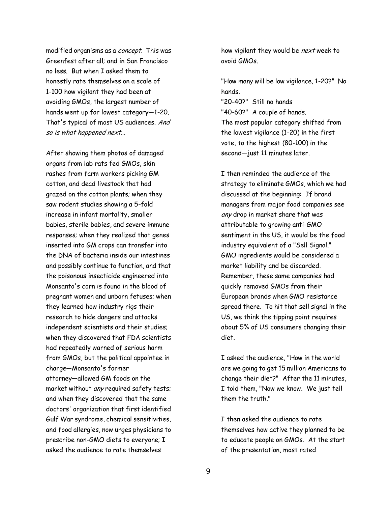modified organisms as a concept. This was Greenfest after all; and in San Francisco no less. But when I asked them to honestly rate themselves on a scale of 1-100 how vigilant they had been at avoiding GMOs, the largest number of hands went up for lowest category―1-20. That's typical of most US audiences. And so is what happened next…

After showing them photos of damaged organs from lab rats fed GMOs, skin rashes from farm workers picking GM cotton, and dead livestock that had grazed on the cotton plants; when they saw rodent studies showing a 5-fold increase in infant mortality, smaller babies, sterile babies, and severe immune responses; when they realized that genes inserted into GM crops can transfer into the DNA of bacteria inside our intestines and possibly continue to function, and that the poisonous insecticide engineered into Monsanto's corn is found in the blood of pregnant women and unborn fetuses; when they learned how industry rigs their research to hide dangers and attacks independent scientists and their studies; when they discovered that FDA scientists had repeatedly warned of serious harm from GMOs, but the political appointee in charge―Monsanto's former attorney―allowed GM foods on the market without any required safety tests; and when they discovered that the same doctors' organization that first identified Gulf War syndrome, chemical sensitivities, and food allergies, now urges physicians to prescribe non-GMO diets to everyone; I asked the audience to rate themselves

how vigilant they would be next week to avoid GMOs.

"How many will be low vigilance, 1-20?" No hands.

"20-40?" Still no hands "40-60?" A couple of hands. The most popular category shifted from the lowest vigilance (1-20) in the first vote, to the highest (80-100) in the second―just 11 minutes later.

I then reminded the audience of the strategy to eliminate GMOs, which we had discussed at the beginning: If brand managers from major food companies see any drop in market share that was attributable to growing anti-GMO sentiment in the US, it would be the food industry equivalent of a "Sell Signal." GMO ingredients would be considered a market liability and be discarded. Remember, these same companies had quickly removed GMOs from their European brands when GMO resistance spread there. To hit that sell signal in the US, we think the tipping point requires about 5% of US consumers changing their diet.

I asked the audience, "How in the world are we going to get 15 million Americans to change their diet?" After the 11 minutes, I told them, "Now we know. We just tell them the truth."

I then asked the audience to rate themselves how active they planned to be to educate people on GMOs. At the start of the presentation, most rated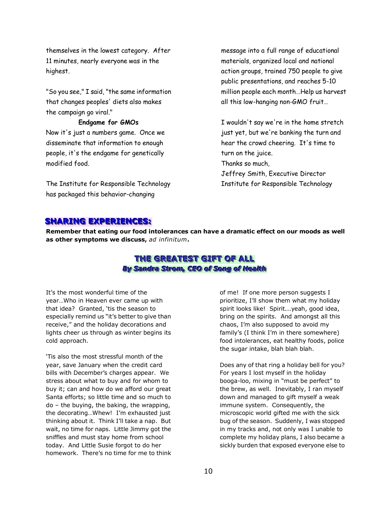themselves in the lowest category. After 11 minutes, nearly everyone was in the highest.

"So you see," I said, "the same information that changes peoples' diets also makes the campaign go viral."

**Endgame for GMOs** Now it's just a numbers game. Once we disseminate that information to enough people, it's the endgame for genetically modified food.

The Institute for Responsible Technology has packaged this behavior-changing

message into a full range of educational materials, organized local and national action groups, trained 750 people to give public presentations, and reaches 5-10 million people each month…Help us harvest all this low-hanging non-GMO fruit…

I wouldn't say we're in the home stretch just yet, but we're banking the turn and hear the crowd cheering. It's time to turn on the juice. Thanks so much, Jeffrey Smith, Executive Director Institute for Responsible Technology

### SHARING **EXPERIENCES:**

**Remember that eating our food intolerances can have a dramatic effect on our moods as well as other symptoms we discuss,** *ad infinitum***.**

## **THE GREATEST GIFT OF ALL** *By Sandra Strom, CEO of Song of Health*

It's the most wonderful time of the year…Who in Heaven ever came up with that idea? Granted, 'tis the season to especially remind us "it's better to give than receive," and the holiday decorations and lights cheer us through as winter begins its cold approach.

"Tis also the most stressful month of the year, save January when the credit card bills with December"s charges appear. We stress about what to buy and for whom to buy it; can and how do we afford our great Santa efforts; so little time and so much to do – the buying, the baking, the wrapping, the decorating...Whew! I'm exhausted just thinking about it. Think I"ll take a nap. But wait, no time for naps. Little Jimmy got the sniffles and must stay home from school today. And Little Susie forgot to do her homework. There's no time for me to think of me! If one more person suggests I prioritize, I'll show them what my holiday spirit looks like! Spirit...yeah, good idea, bring on the spirits. And amongst all this chaos, I"m also supposed to avoid my family's (I think I'm in there somewhere) food intolerances, eat healthy foods, police the sugar intake, blah blah blah.

Does any of that ring a holiday bell for you? For years I lost myself in the holiday booga-loo, mixing in "must be perfect" to the brew, as well. Inevitably, I ran myself down and managed to gift myself a weak immune system. Consequently, the microscopic world gifted me with the sick bug of the season. Suddenly, I was stopped in my tracks and, not only was I unable to complete my holiday plans, I also became a sickly burden that exposed everyone else to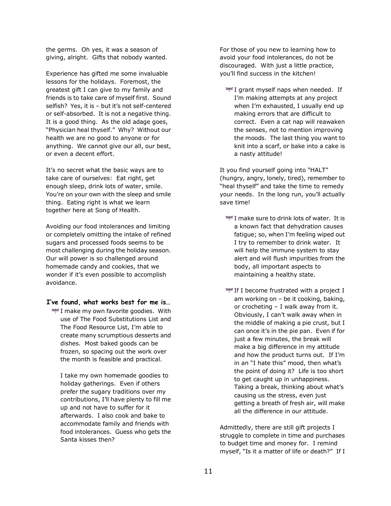the germs. Oh yes, it was a season of giving, alright. Gifts that nobody wanted.

Experience has gifted me some invaluable lessons for the holidays. Foremost, the greatest gift I can give to my family and friends is to take care of myself first. Sound selfish? Yes, it is - but it's not self-centered or self-absorbed. It is not a negative thing. It is a good thing. As the old adage goes, "Physician heal thyself." Why? Without our health we are no good to anyone or for anything. We cannot give our all, our best, or even a decent effort.

It"s no secret what the basic ways are to take care of ourselves: Eat right, get enough sleep, drink lots of water, smile. You're on your own with the sleep and smile thing. Eating right is what we learn together here at Song of Health.

Avoiding our food intolerances and limiting or completely omitting the intake of refined sugars and processed foods seems to be most challenging during the holiday season. Our will power is so challenged around homemade candy and cookies, that we wonder if it's even possible to accomplish avoidance.

- **I've found, what works best for me is…**
	- $\equiv$  I make my own favorite goodies. With use of The Food Substitutions List and The Food Resource List, I"m able to create many scrumptious desserts and dishes. Most baked goods can be frozen, so spacing out the work over the month is feasible and practical.

I take my own homemade goodies to holiday gatherings. Even if others prefer the sugary traditions over my contributions, I"ll have plenty to fill me up and not have to suffer for it afterwards. I also cook and bake to accommodate family and friends with food intolerances. Guess who gets the Santa kisses then?

For those of you new to learning how to avoid your food intolerances, do not be discouraged. With just a little practice, you"ll find success in the kitchen!

 $\equiv$  I grant myself naps when needed. If I'm making attempts at any project when I'm exhausted, I usually end up making errors that are difficult to correct. Even a cat nap will reawaken the senses, not to mention improving the moods. The last thing you want to knit into a scarf, or bake into a cake is a nasty attitude!

It you find yourself going into "HALT" (hungry, angry, lonely, tired), remember to "heal thyself" and take the time to remedy your needs. In the long run, you"ll actually save time!

- $\equiv$  I make sure to drink lots of water. It is a known fact that dehydration causes fatigue; so, when I"m feeling wiped out I try to remember to drink water. It will help the immune system to stay alert and will flush impurities from the body, all important aspects to maintaining a healthy state.
- $\equiv$  If I become frustrated with a project I am working on – be it cooking, baking, or crocheting – I walk away from it. Obviously, I can"t walk away when in the middle of making a pie crust, but I can once it's in the pie pan. Even if for just a few minutes, the break will make a big difference in my attitude and how the product turns out. If I"m in an "I hate this" mood, then what's the point of doing it? Life is too short to get caught up in unhappiness. Taking a break, thinking about what"s causing us the stress, even just getting a breath of fresh air, will make all the difference in our attitude.

Admittedly, there are still gift projects I struggle to complete in time and purchases to budget time and money for. I remind myself, "Is it a matter of life or death?" If I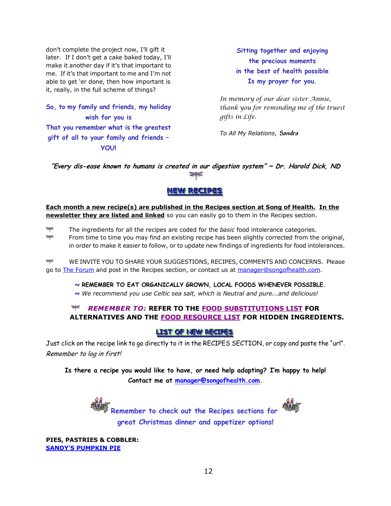don"t complete the project now, I"ll gift it later. If I don't get a cake baked today, I'll make it another day if it"s that important to me. If it's that important to me and I'm not able to get 'er done, then how important is it, really, in the full scheme of things?

**So, to my family and friends, my holiday wish for you is That you remember what is the greatest gift of all to your family and friends – YOU!** 

**Sitting together and enjoying the precious moments in the best of health possible Is my prayer for you.**

*In memory of our dear sister Annie, thank you for reminding me of the truest gifts in Life.* 

*To All My Relations*, **Sandra**

**"Every dis-ease known to humans is created in our digestion system" ~ Dr. Harold Dick, ND**   $=$ 

## **NEW RECTPES**

**Each month a new recipe(s) are published in the Recipes section at Song of Health. In the newsletter they are listed and linked** so you can easily go to them in the Recipes section.

 $\frac{1}{2}$ The ingredients for all the recipes are coded for the *basic* food intolerance categories.

₩ From time to time you may find an existing recipe has been slightly corrected from the original, in order to make it easier to follow, or to update new findings of ingredients for food intolerances.

≥⊧≤ WE INVITE YOU TO SHARE YOUR SUGGESTIONS, RECIPES, COMMENTS AND CONCERNS. Please go to [The Forum](http://www.songofhealth.com/subscribers/forumintro.html) and post in the Recipes section, or contact us at [manager@songofhealth.com.](mailto:manager@songofhealth.com)

*~* **REMEMBER TO EAT ORGANICALLY GROWN, LOCAL FOODS WHENEVER POSSIBLE.**

*~ We recommend you use Celtic sea salt, which is Neutral and pure...and delicious!* 

#### $\geq$ *REMEMBER TO:* **REFER TO THE [FOOD SUBSTITUTIONS LIST](http://www.songofhealth.com/subscribers/foodresources/foodsub.html) FOR ALTERNATIVES AND THE [FOOD RESOURCE LIST](http://www.songofhealth.com/subscribers/foodresources/intro.html) FOR HIDDEN INGREDIENTS.**

### **LLIST OF NEW RECIPES**

Just click on the recipe link to go directly to it in the RECIPES SECTION, or copy and paste the "url". Remember to log in first!

**Is there a recipe you would like to have, or need help adapting? I'm happy to help! Contact me at [manager@songofhealth.com.](mailto:manager@songofhealth.com)** 

> **Remember to check out the Recipes sections for great Christmas dinner and appetizer options!**



**PIES, PASTRIES & COBBLER: [SANDY'S PUMPKIN PIE](http://www.songofhealth.com/subscribers/recipes/pies.html#SandysPumpkinPie)**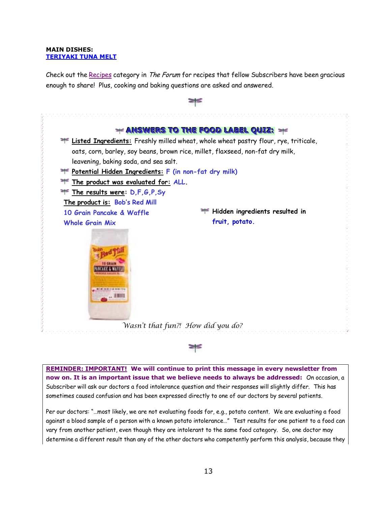#### **MAIN DISHES: [TERIYAKI TUNA MELT](http://www.songofhealth.com/subscribers/recipes/main.html#TeriyakiTunaMelt)**

Check out the [Recipes](http://www.songofhealth.com/cgi/forum/mf_browse.pl?Com=category&Category=a01xF166) category in The Forum for recipes that fellow Subscribers have been gracious enough to share! Plus, cooking and baking questions are asked and answered.



**REMINDER: IMPORTANT!** We will continue to print this message in every newsletter from **now on. It is an important issue that we believe needs to always be addressed:** On occasion, a Subscriber will ask our doctors a food intolerance question and their responses will slightly differ. This has sometimes caused confusion and has been expressed directly to one of our doctors by several patients.

Per our doctors: "…most likely, we are not evaluating foods for, e.g., potato content. We are evaluating a food against a blood sample of a person with a known potato intolerance…" Test results for one patient to a food can vary from another patient, even though they are intolerant to the same food category. So, one doctor may determine a different result than any of the other doctors who competently perform this analysis, because they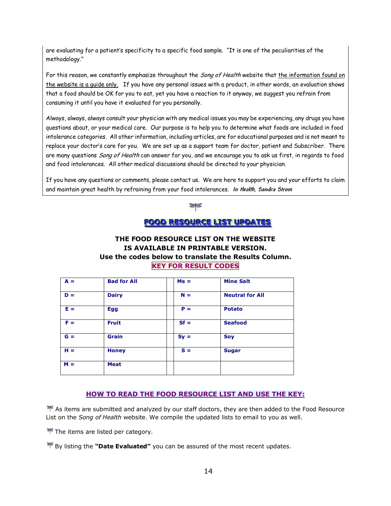are evaluating for a patient's specificity to a specific food sample. "It is one of the peculiarities of the methodology."

For this reason, we constantly emphasize throughout the *Song of Health* website that the information found on the website is a guide only. If you have any personal issues with a product, in other words, an evaluation shows that a food should be OK for you to eat, yet you have a reaction to it anyway, we suggest you refrain from consuming it until you have it evaluated for you personally.

Always, always, always consult your physician with any medical issues you may be experiencing, any drugs you have questions about, or your medical care. Our purpose is to help you to determine what foods are included in food intolerance categories. All other information, including articles, are for educational purposes and is not meant to replace your doctor's care for you. We are set up as a support team for doctor, patient and Subscriber. There are many questions *Song of Health* can answer for you, and we encourage you to ask us first, in regards to food and food intolerances. All other medical discussions should be directed to your physician.

If you have any questions or comments, please contact us. We are here to support you and your efforts to claim and maintain great health by refraining from your food intolerances. **In Health, Sandra Strom**



### **FFOOOODD RREESSOOUURRCCEELLIISSTT UUPPDDAATTEESS**

### **THE FOOD RESOURCE LIST ON THE WEBSITE IS AVAILABLE IN PRINTABLE VERSION. Use the codes below to translate the Results Column. KEY FOR RESULT CODES**

| $A =$ | <b>Bad for All</b> | $Ms =$ | <b>Mine Salt</b>       |
|-------|--------------------|--------|------------------------|
| $D =$ | <b>Dairy</b>       | $N =$  | <b>Neutral for All</b> |
| $E =$ | <b>Egg</b>         | $P =$  | <b>Potato</b>          |
| $F =$ | <b>Fruit</b>       | $Sf =$ | <b>Seafood</b>         |
| $G =$ | <b>Grain</b>       | $Sy =$ | <b>Soy</b>             |
| $H =$ | <b>Honey</b>       | $S =$  | <b>Sugar</b>           |
| $M =$ | <b>Meat</b>        |        |                        |

### **HOW TO READ THE FOOD RESOURCE LIST AND USE THE KEY:**

As items are submitted and analyzed by our staff doctors, they are then added to the Food Resource List on the *Song of Health* website. We compile the updated lists to email to you as well.

 $\mathbb F$  The items are listed per category.

By listing the **"Date Evaluated"** you can be assured of the most recent updates.